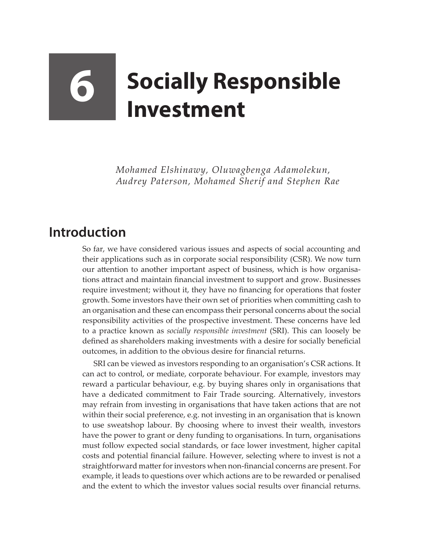## **6 Socially Responsible Investment**

*Mohamed Elshinawy, Oluwagbenga Adamolekun, Audrey Paterson, Mohamed Sherif and Stephen Rae*

## **Introduction**

So far, we have considered various issues and aspects of social accounting and their applications such as in corporate social responsibility (CSR). We now turn our attention to another important aspect of business, which is how organisations attract and maintain financial investment to support and grow. Businesses require investment; without it, they have no financing for operations that foster growth. Some investors have their own set of priorities when committing cash to an organisation and these can encompass their personal concerns about the social responsibility activities of the prospective investment. These concerns have led to a practice known as *socially responsible investment* (SRI). This can loosely be defined as shareholders making investments with a desire for socially beneficial outcomes, in addition to the obvious desire for financial returns.

SRI can be viewed as investors responding to an organisation's CSR actions. It can act to control, or mediate, corporate behaviour. For example, investors may reward a particular behaviour, e.g. by buying shares only in organisations that have a dedicated commitment to Fair Trade sourcing. Alternatively, investors may refrain from investing in organisations that have taken actions that are not within their social preference, e.g. not investing in an organisation that is known to use sweatshop labour. By choosing where to invest their wealth, investors have the power to grant or deny funding to organisations. In turn, organisations must follow expected social standards, or face lower investment, higher capital costs and potential financial failure. However, selecting where to invest is not a straightforward matter for investors when non-financial concerns are present. For example, it leads to questions over which actions are to be rewarded or penalised and the extent to which the investor values social results over financial returns.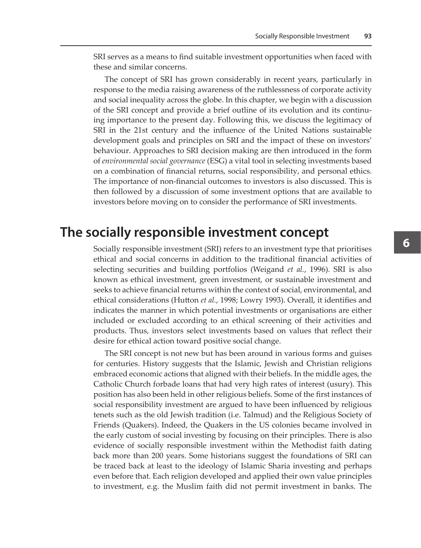SRI serves as a means to find suitable investment opportunities when faced with these and similar concerns.

The concept of SRI has grown considerably in recent years, particularly in response to the media raising awareness of the ruthlessness of corporate activity and social inequality across the globe. In this chapter, we begin with a discussion of the SRI concept and provide a brief outline of its evolution and its continuing importance to the present day. Following this, we discuss the legitimacy of SRI in the 21st century and the influence of the United Nations sustainable development goals and principles on SRI and the impact of these on investors' behaviour. Approaches to SRI decision making are then introduced in the form of *environmental social governance* (ESG) a vital tool in selecting investments based on a combination of financial returns, social responsibility, and personal ethics. The importance of non-financial outcomes to investors is also discussed. This is then followed by a discussion of some investment options that are available to investors before moving on to consider the performance of SRI investments.

## **The socially responsible investment concept**

Socially responsible investment (SRI) refers to an investment type that prioritises ethical and social concerns in addition to the traditional financial activities of selecting securities and building portfolios (Weigand *et al.*, 1996). SRI is also known as ethical investment, green investment, or sustainable investment and seeks to achieve financial returns within the context of social, environmental, and ethical considerations (Hutton *et al.*, 1998; Lowry 1993). Overall, it identifies and indicates the manner in which potential investments or organisations are either included or excluded according to an ethical screening of their activities and products. Thus, investors select investments based on values that reflect their desire for ethical action toward positive social change.

The SRI concept is not new but has been around in various forms and guises for centuries. History suggests that the Islamic, Jewish and Christian religions embraced economic actions that aligned with their beliefs. In the middle ages, the Catholic Church forbade loans that had very high rates of interest (usury). This position has also been held in other religious beliefs. Some of the first instances of social responsibility investment are argued to have been influenced by religious tenets such as the old Jewish tradition (i.e. Talmud) and the Religious Society of Friends (Quakers). Indeed, the Quakers in the US colonies became involved in the early custom of social investing by focusing on their principles. There is also evidence of socially responsible investment within the Methodist faith dating back more than 200 years. Some historians suggest the foundations of SRI can be traced back at least to the ideology of Islamic Sharia investing and perhaps even before that. Each religion developed and applied their own value principles to investment, e.g. the Muslim faith did not permit investment in banks. The